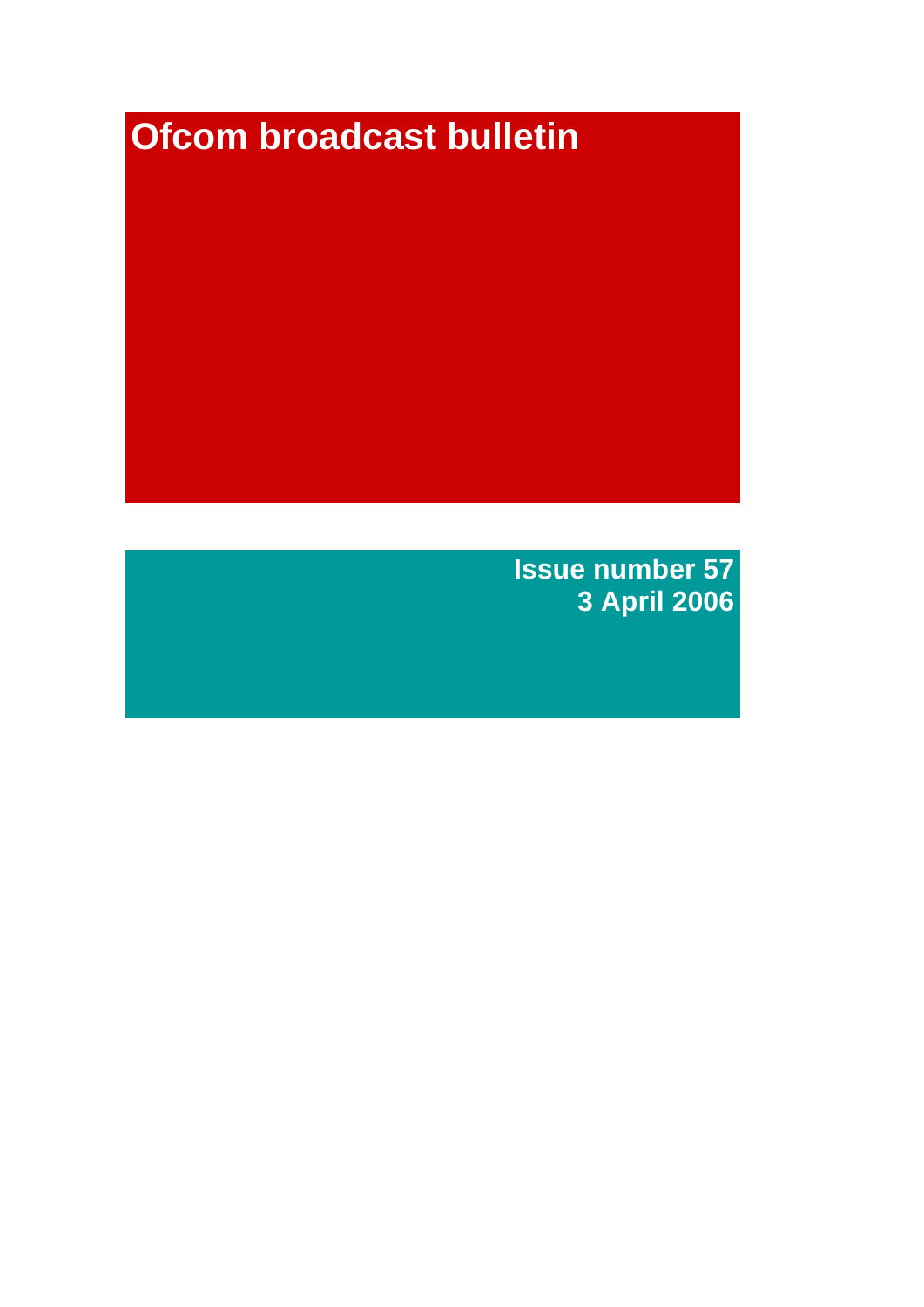# **Ofcom broadcast bulletin**

**Issue number 57 3 April 2006**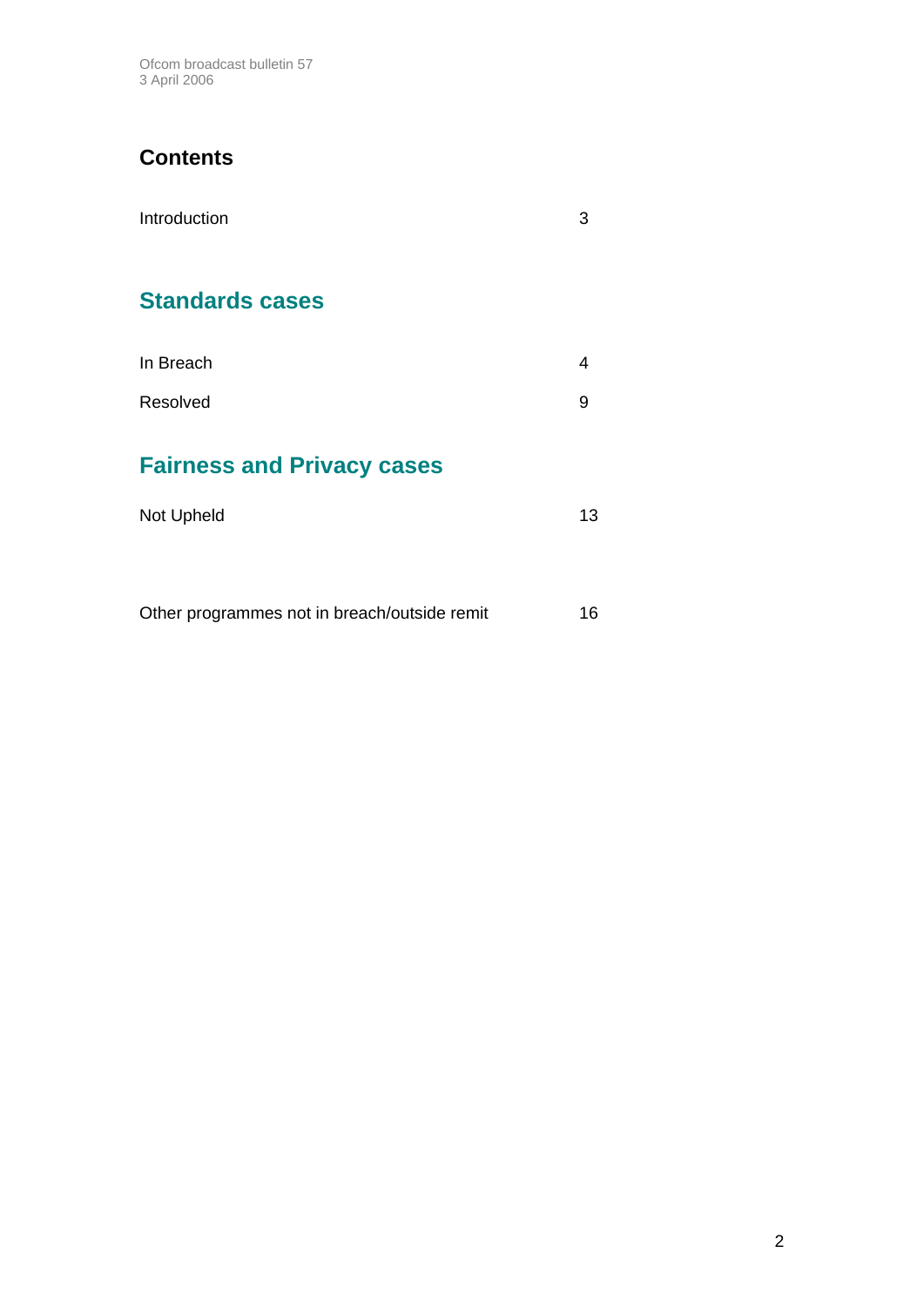Ofcom broadcast bulletin 57 3 April 2006

## **Contents**

| Introduction                      | З  |
|-----------------------------------|----|
| <b>Standards cases</b>            |    |
| In Breach                         | 4  |
| Resolved                          | 9  |
| <b>Fairness and Privacy cases</b> |    |
| Not Upheld                        | 13 |
|                                   |    |

Other programmes not in breach/outside remit 16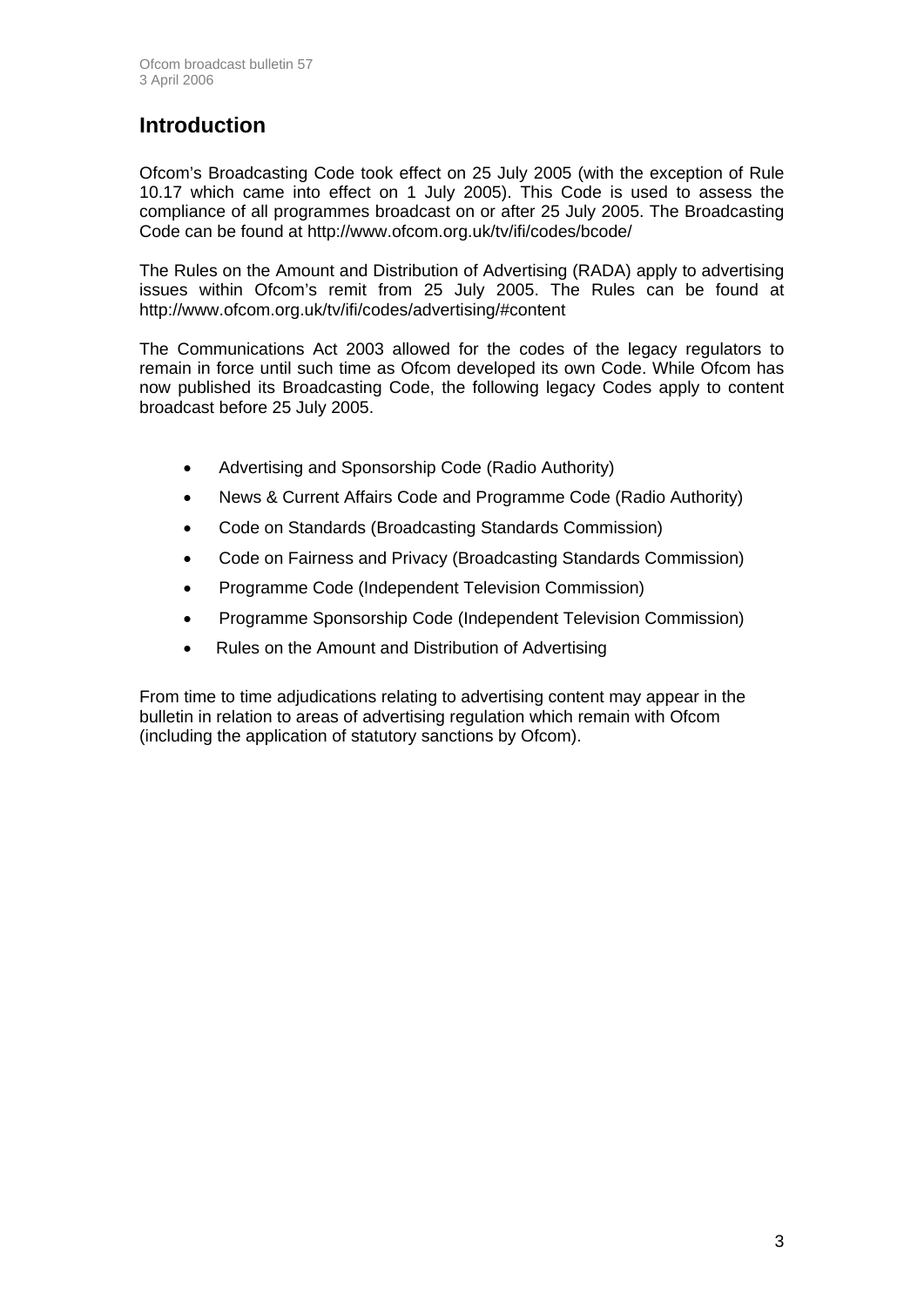## **Introduction**

Ofcom's Broadcasting Code took effect on 25 July 2005 (with the exception of Rule 10.17 which came into effect on 1 July 2005). This Code is used to assess the compliance of all programmes broadcast on or after 25 July 2005. The Broadcasting Code can be found at http://www.ofcom.org.uk/tv/ifi/codes/bcode/

The Rules on the Amount and Distribution of Advertising (RADA) apply to advertising issues within Ofcom's remit from 25 July 2005. The Rules can be found at http://www.ofcom.org.uk/tv/ifi/codes/advertising/#content

The Communications Act 2003 allowed for the codes of the legacy regulators to remain in force until such time as Ofcom developed its own Code. While Ofcom has now published its Broadcasting Code, the following legacy Codes apply to content broadcast before 25 July 2005.

- Advertising and Sponsorship Code (Radio Authority)
- News & Current Affairs Code and Programme Code (Radio Authority)
- Code on Standards (Broadcasting Standards Commission)
- Code on Fairness and Privacy (Broadcasting Standards Commission)
- Programme Code (Independent Television Commission)
- Programme Sponsorship Code (Independent Television Commission)
- Rules on the Amount and Distribution of Advertising

From time to time adjudications relating to advertising content may appear in the bulletin in relation to areas of advertising regulation which remain with Ofcom (including the application of statutory sanctions by Ofcom).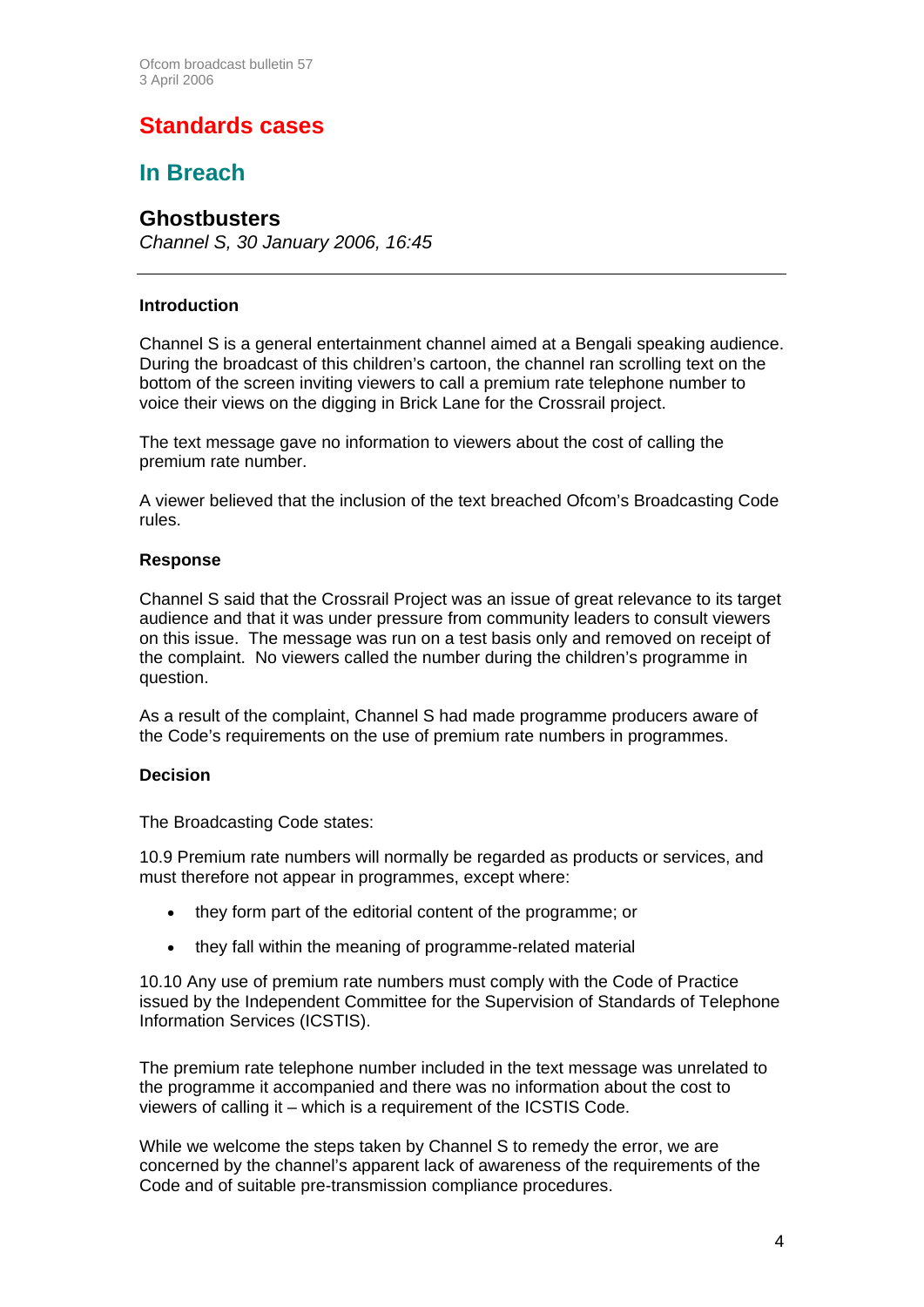# **Standards cases**

## **In Breach**

## **Ghostbusters**

*Channel S, 30 January 2006, 16:45* 

#### **Introduction**

Channel S is a general entertainment channel aimed at a Bengali speaking audience. During the broadcast of this children's cartoon, the channel ran scrolling text on the bottom of the screen inviting viewers to call a premium rate telephone number to voice their views on the digging in Brick Lane for the Crossrail project.

The text message gave no information to viewers about the cost of calling the premium rate number.

A viewer believed that the inclusion of the text breached Ofcom's Broadcasting Code rules.

#### **Response**

Channel S said that the Crossrail Project was an issue of great relevance to its target audience and that it was under pressure from community leaders to consult viewers on this issue. The message was run on a test basis only and removed on receipt of the complaint. No viewers called the number during the children's programme in question.

As a result of the complaint, Channel S had made programme producers aware of the Code's requirements on the use of premium rate numbers in programmes.

#### **Decision**

The Broadcasting Code states:

10.9 Premium rate numbers will normally be regarded as products or services, and must therefore not appear in programmes, except where:

- they form part of the editorial content of the programme; or
- they fall within the meaning of programme-related material

10.10 Any use of premium rate numbers must comply with the Code of Practice issued by the Independent Committee for the Supervision of Standards of Telephone Information Services (ICSTIS).

The premium rate telephone number included in the text message was unrelated to the programme it accompanied and there was no information about the cost to viewers of calling it – which is a requirement of the ICSTIS Code.

While we welcome the steps taken by Channel S to remedy the error, we are concerned by the channel's apparent lack of awareness of the requirements of the Code and of suitable pre-transmission compliance procedures.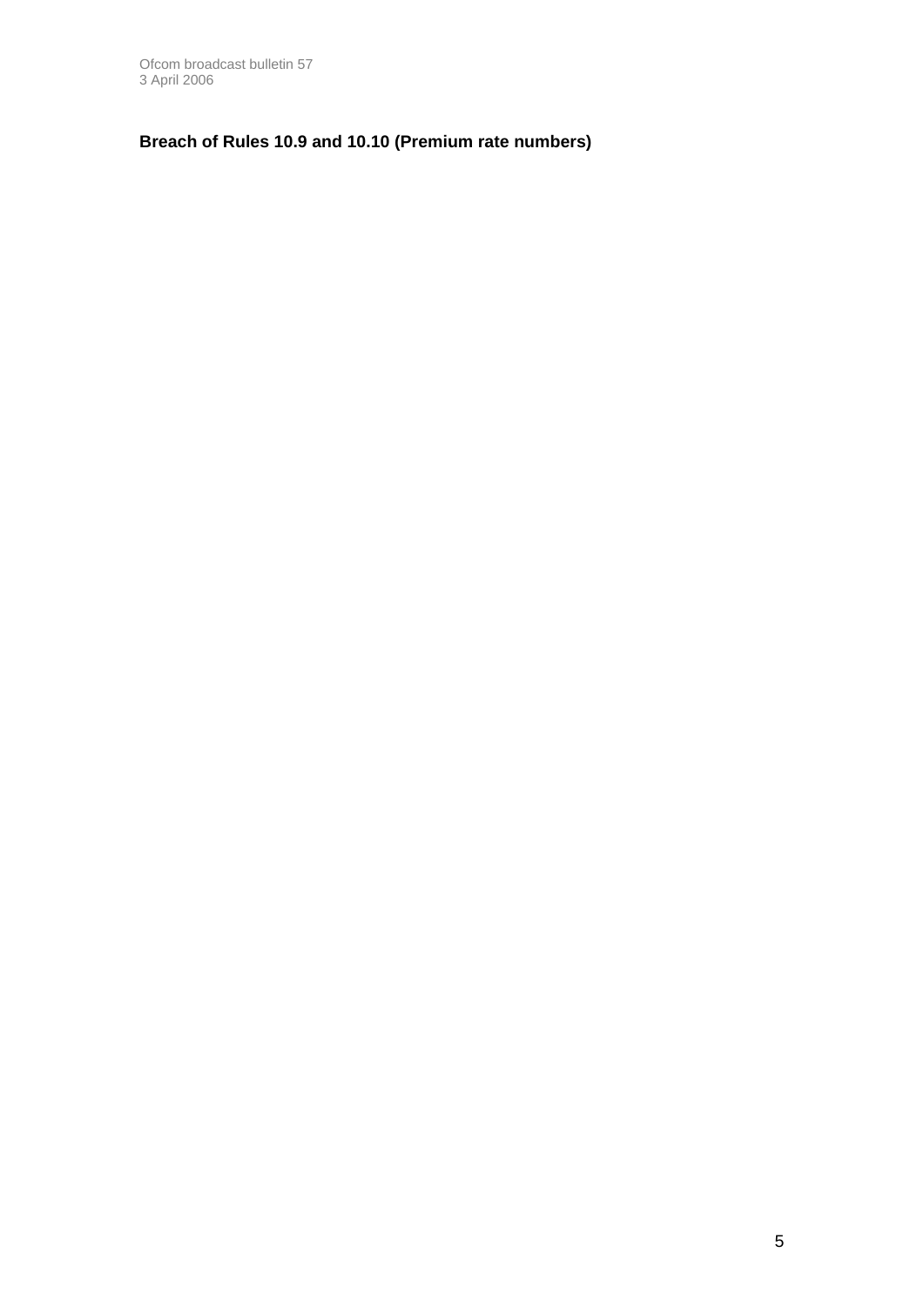### **Breach of Rules 10.9 and 10.10 (Premium rate numbers)**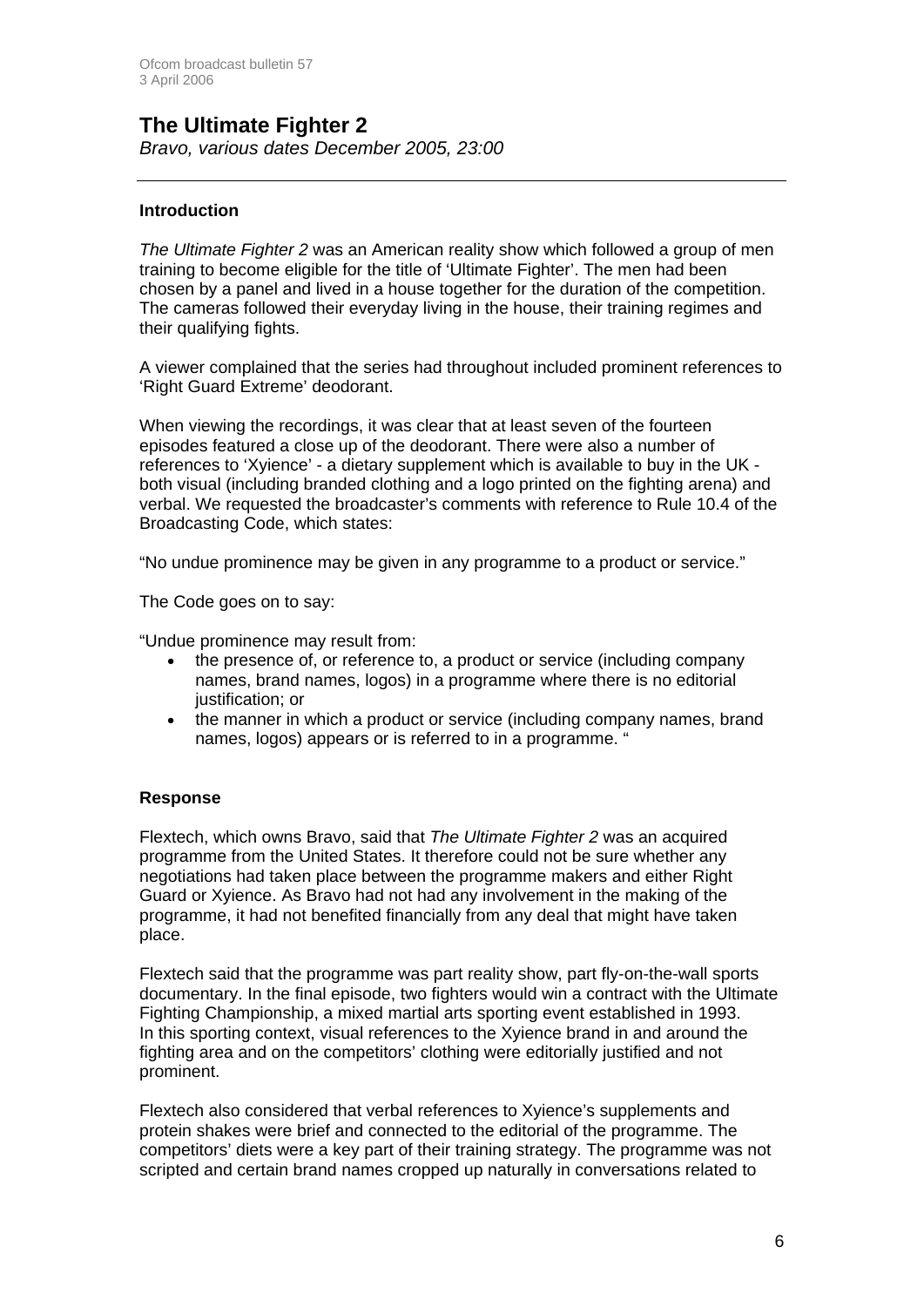# **The Ultimate Fighter 2**

*Bravo, various dates December 2005, 23:00*

#### **Introduction**

*The Ultimate Fighter 2* was an American reality show which followed a group of men training to become eligible for the title of 'Ultimate Fighter'. The men had been chosen by a panel and lived in a house together for the duration of the competition. The cameras followed their everyday living in the house, their training regimes and their qualifying fights.

A viewer complained that the series had throughout included prominent references to 'Right Guard Extreme' deodorant.

When viewing the recordings, it was clear that at least seven of the fourteen episodes featured a close up of the deodorant. There were also a number of references to 'Xyience' - a dietary supplement which is available to buy in the UK both visual (including branded clothing and a logo printed on the fighting arena) and verbal. We requested the broadcaster's comments with reference to Rule 10.4 of the Broadcasting Code, which states:

"No undue prominence may be given in any programme to a product or service."

The Code goes on to say:

"Undue prominence may result from:

- the presence of, or reference to, a product or service (including company names, brand names, logos) in a programme where there is no editorial justification; or
- the manner in which a product or service (including company names, brand names, logos) appears or is referred to in a programme. "

#### **Response**

Flextech, which owns Bravo, said that *The Ultimate Fighter 2* was an acquired programme from the United States. It therefore could not be sure whether any negotiations had taken place between the programme makers and either Right Guard or Xyience. As Bravo had not had any involvement in the making of the programme, it had not benefited financially from any deal that might have taken place.

Flextech said that the programme was part reality show, part fly-on-the-wall sports documentary. In the final episode, two fighters would win a contract with the Ultimate Fighting Championship, a mixed martial arts sporting event established in 1993. In this sporting context, visual references to the Xyience brand in and around the fighting area and on the competitors' clothing were editorially justified and not prominent.

Flextech also considered that verbal references to Xyience's supplements and protein shakes were brief and connected to the editorial of the programme. The competitors' diets were a key part of their training strategy. The programme was not scripted and certain brand names cropped up naturally in conversations related to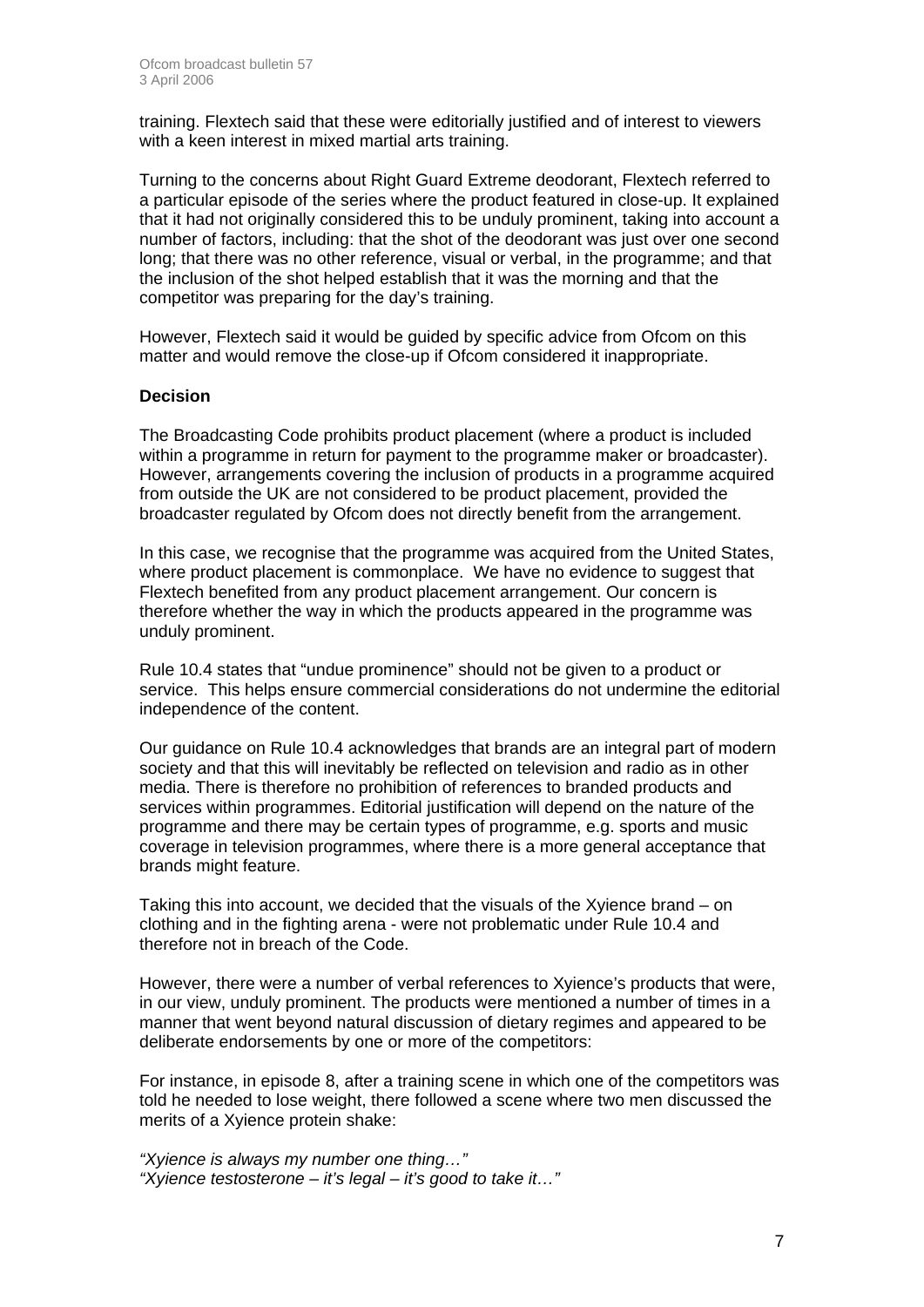training. Flextech said that these were editorially justified and of interest to viewers with a keen interest in mixed martial arts training.

Turning to the concerns about Right Guard Extreme deodorant, Flextech referred to a particular episode of the series where the product featured in close-up. It explained that it had not originally considered this to be unduly prominent, taking into account a number of factors, including: that the shot of the deodorant was just over one second long; that there was no other reference, visual or verbal, in the programme; and that the inclusion of the shot helped establish that it was the morning and that the competitor was preparing for the day's training.

However, Flextech said it would be guided by specific advice from Ofcom on this matter and would remove the close-up if Ofcom considered it inappropriate.

#### **Decision**

The Broadcasting Code prohibits product placement (where a product is included within a programme in return for payment to the programme maker or broadcaster). However, arrangements covering the inclusion of products in a programme acquired from outside the UK are not considered to be product placement, provided the broadcaster regulated by Ofcom does not directly benefit from the arrangement.

In this case, we recognise that the programme was acquired from the United States, where product placement is commonplace. We have no evidence to suggest that Flextech benefited from any product placement arrangement. Our concern is therefore whether the way in which the products appeared in the programme was unduly prominent.

Rule 10.4 states that "undue prominence" should not be given to a product or service. This helps ensure commercial considerations do not undermine the editorial independence of the content.

Our guidance on Rule 10.4 acknowledges that brands are an integral part of modern society and that this will inevitably be reflected on television and radio as in other media. There is therefore no prohibition of references to branded products and services within programmes. Editorial justification will depend on the nature of the programme and there may be certain types of programme, e.g. sports and music coverage in television programmes, where there is a more general acceptance that brands might feature.

Taking this into account, we decided that the visuals of the Xyience brand – on clothing and in the fighting arena - were not problematic under Rule 10.4 and therefore not in breach of the Code.

However, there were a number of verbal references to Xyience's products that were, in our view, unduly prominent. The products were mentioned a number of times in a manner that went beyond natural discussion of dietary regimes and appeared to be deliberate endorsements by one or more of the competitors:

For instance, in episode 8, after a training scene in which one of the competitors was told he needed to lose weight, there followed a scene where two men discussed the merits of a Xyience protein shake:

*"Xyience is always my number one thing…" "Xyience testosterone – it's legal – it's good to take it…"*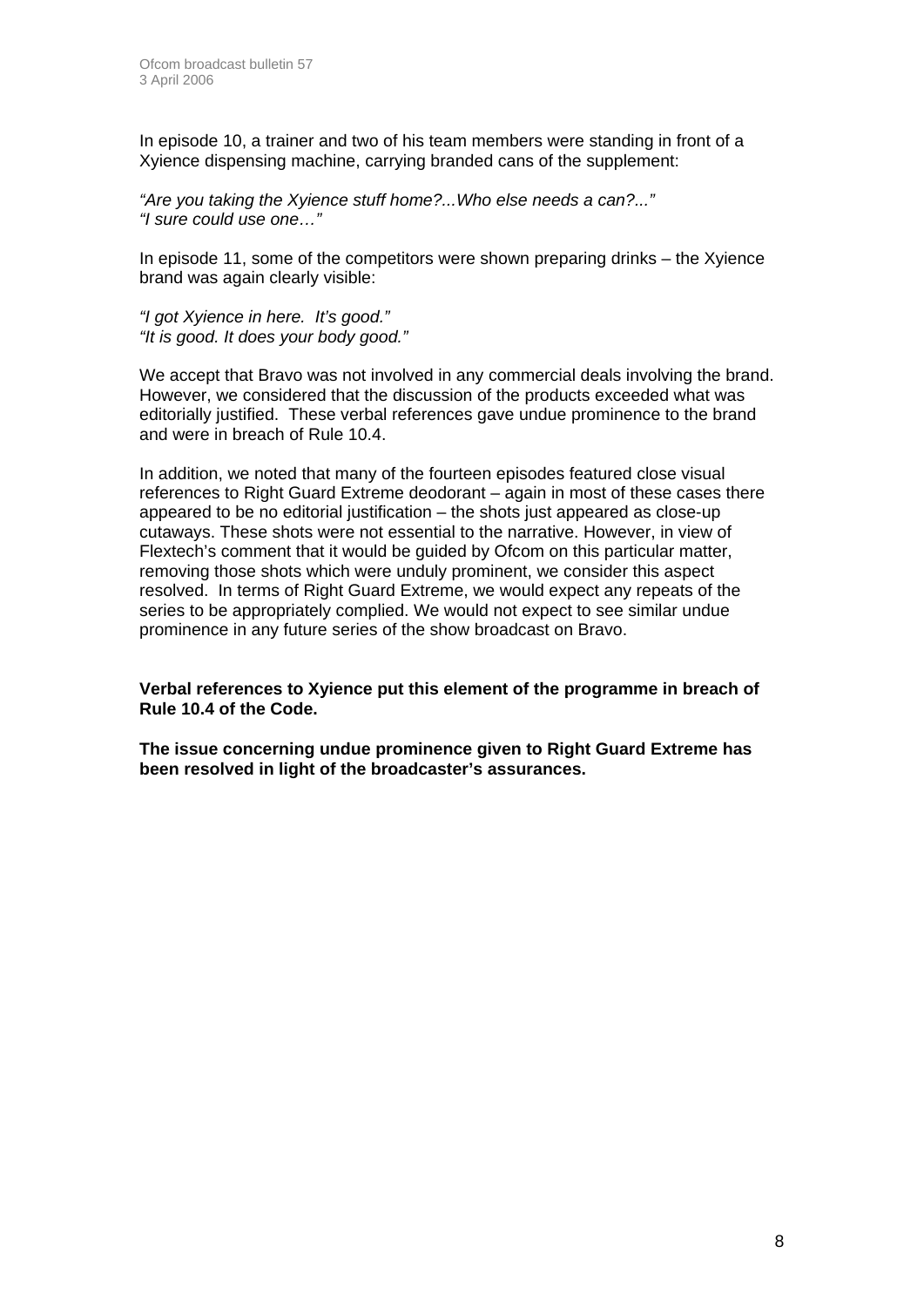In episode 10, a trainer and two of his team members were standing in front of a Xyience dispensing machine, carrying branded cans of the supplement:

*"Are you taking the Xyience stuff home?...Who else needs a can?..." "I sure could use one…"* 

In episode 11, some of the competitors were shown preparing drinks – the Xyience brand was again clearly visible:

*"I got Xyience in here. It's good." "It is good. It does your body good."* 

We accept that Bravo was not involved in any commercial deals involving the brand. However, we considered that the discussion of the products exceeded what was editorially justified. These verbal references gave undue prominence to the brand and were in breach of Rule 10.4.

In addition, we noted that many of the fourteen episodes featured close visual references to Right Guard Extreme deodorant – again in most of these cases there appeared to be no editorial justification – the shots just appeared as close-up cutaways. These shots were not essential to the narrative. However, in view of Flextech's comment that it would be guided by Ofcom on this particular matter, removing those shots which were unduly prominent, we consider this aspect resolved. In terms of Right Guard Extreme, we would expect any repeats of the series to be appropriately complied. We would not expect to see similar undue prominence in any future series of the show broadcast on Bravo.

**Verbal references to Xyience put this element of the programme in breach of Rule 10.4 of the Code.** 

**The issue concerning undue prominence given to Right Guard Extreme has been resolved in light of the broadcaster's assurances.**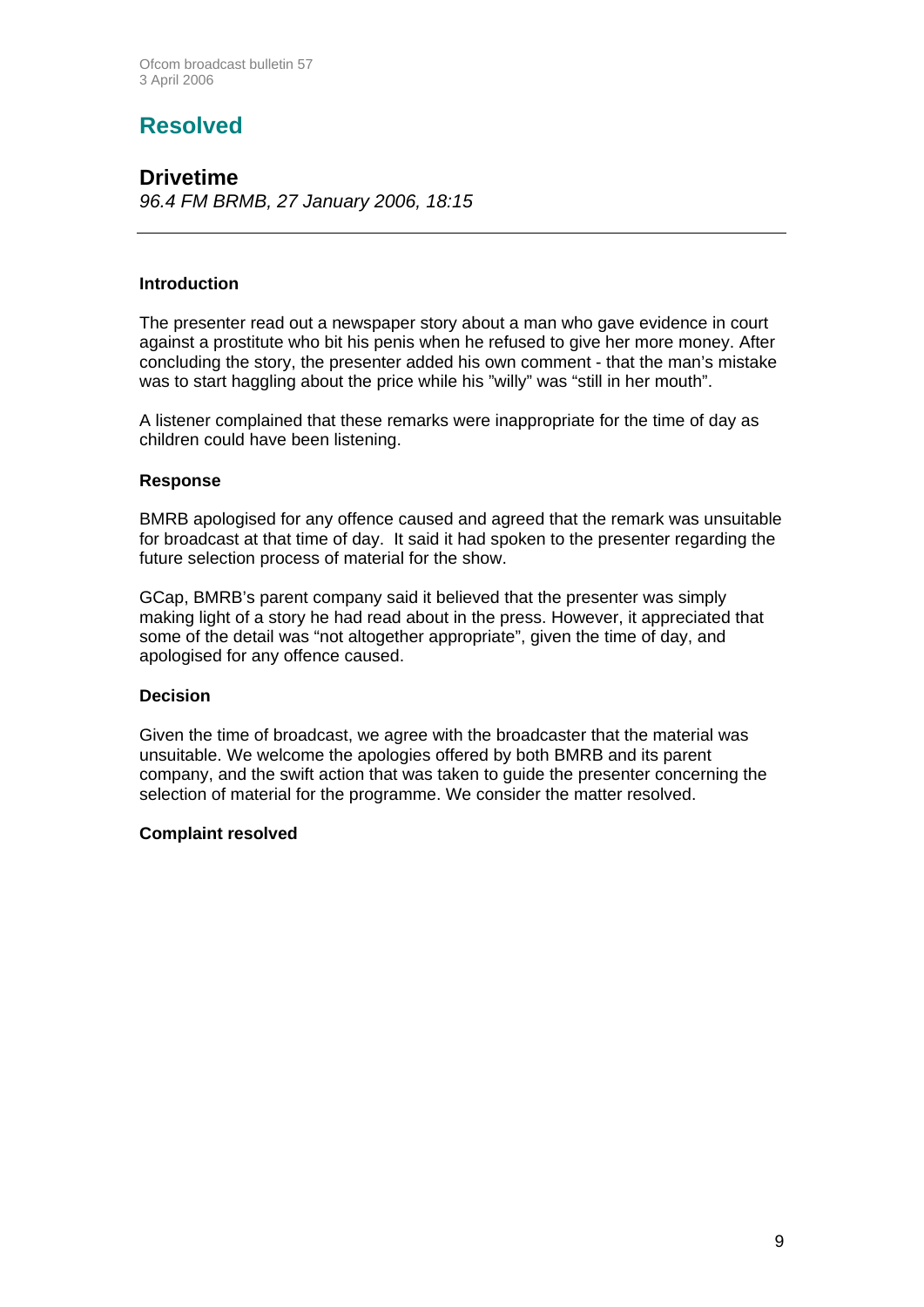# **Resolved**

#### **Drivetime**  *96.4 FM BRMB, 27 January 2006, 18:15*

#### **Introduction**

The presenter read out a newspaper story about a man who gave evidence in court against a prostitute who bit his penis when he refused to give her more money. After concluding the story, the presenter added his own comment - that the man's mistake was to start haggling about the price while his "willy" was "still in her mouth".

A listener complained that these remarks were inappropriate for the time of day as children could have been listening.

#### **Response**

BMRB apologised for any offence caused and agreed that the remark was unsuitable for broadcast at that time of day. It said it had spoken to the presenter regarding the future selection process of material for the show.

GCap, BMRB's parent company said it believed that the presenter was simply making light of a story he had read about in the press. However, it appreciated that some of the detail was "not altogether appropriate", given the time of day, and apologised for any offence caused.

#### **Decision**

Given the time of broadcast, we agree with the broadcaster that the material was unsuitable. We welcome the apologies offered by both BMRB and its parent company, and the swift action that was taken to guide the presenter concerning the selection of material for the programme. We consider the matter resolved.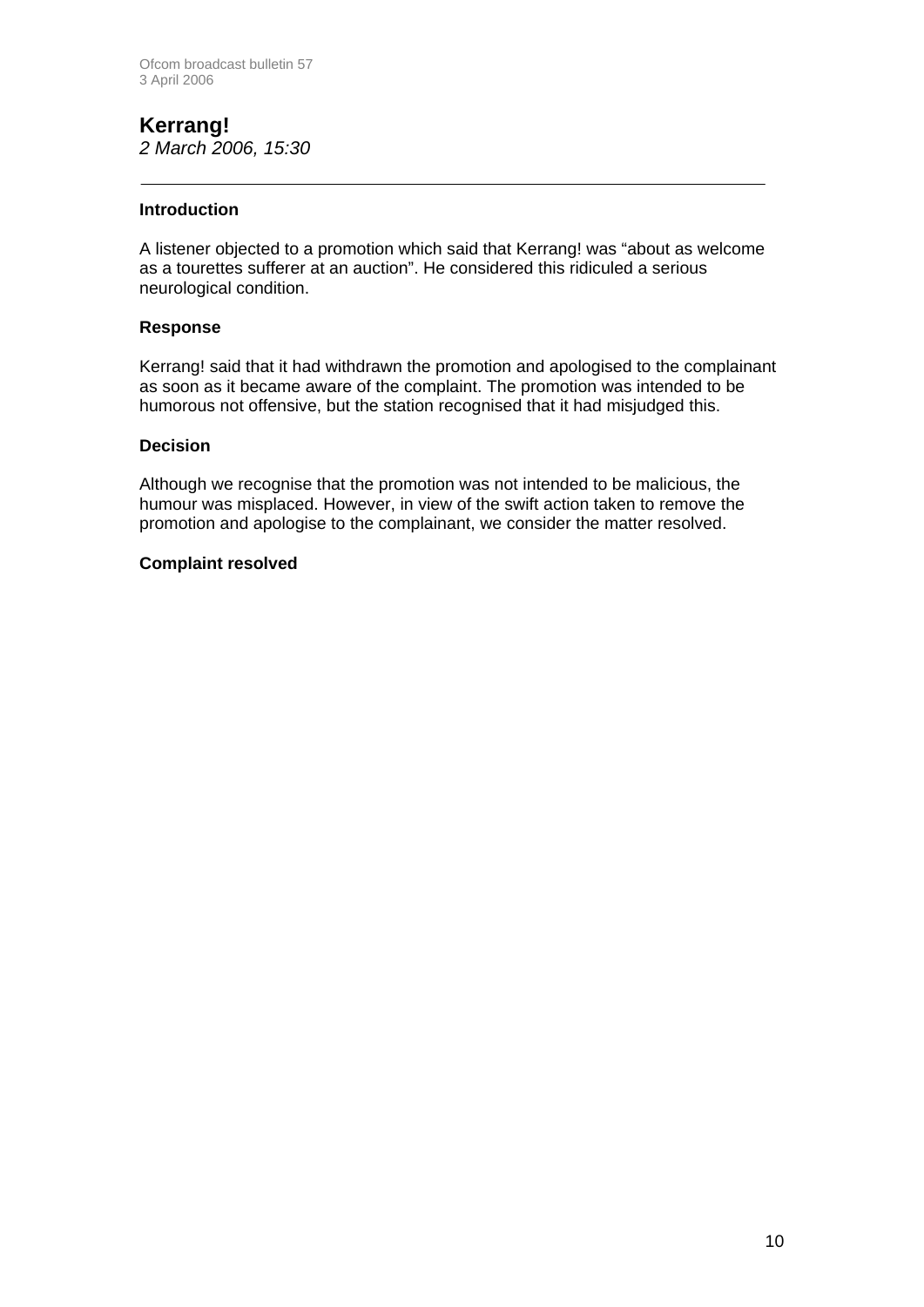#### **Kerrang!**  *2 March 2006, 15:30*

#### **Introduction**

A listener objected to a promotion which said that Kerrang! was "about as welcome as a tourettes sufferer at an auction". He considered this ridiculed a serious neurological condition.

#### **Response**

Kerrang! said that it had withdrawn the promotion and apologised to the complainant as soon as it became aware of the complaint. The promotion was intended to be humorous not offensive, but the station recognised that it had misjudged this.

#### **Decision**

Although we recognise that the promotion was not intended to be malicious, the humour was misplaced. However, in view of the swift action taken to remove the promotion and apologise to the complainant, we consider the matter resolved.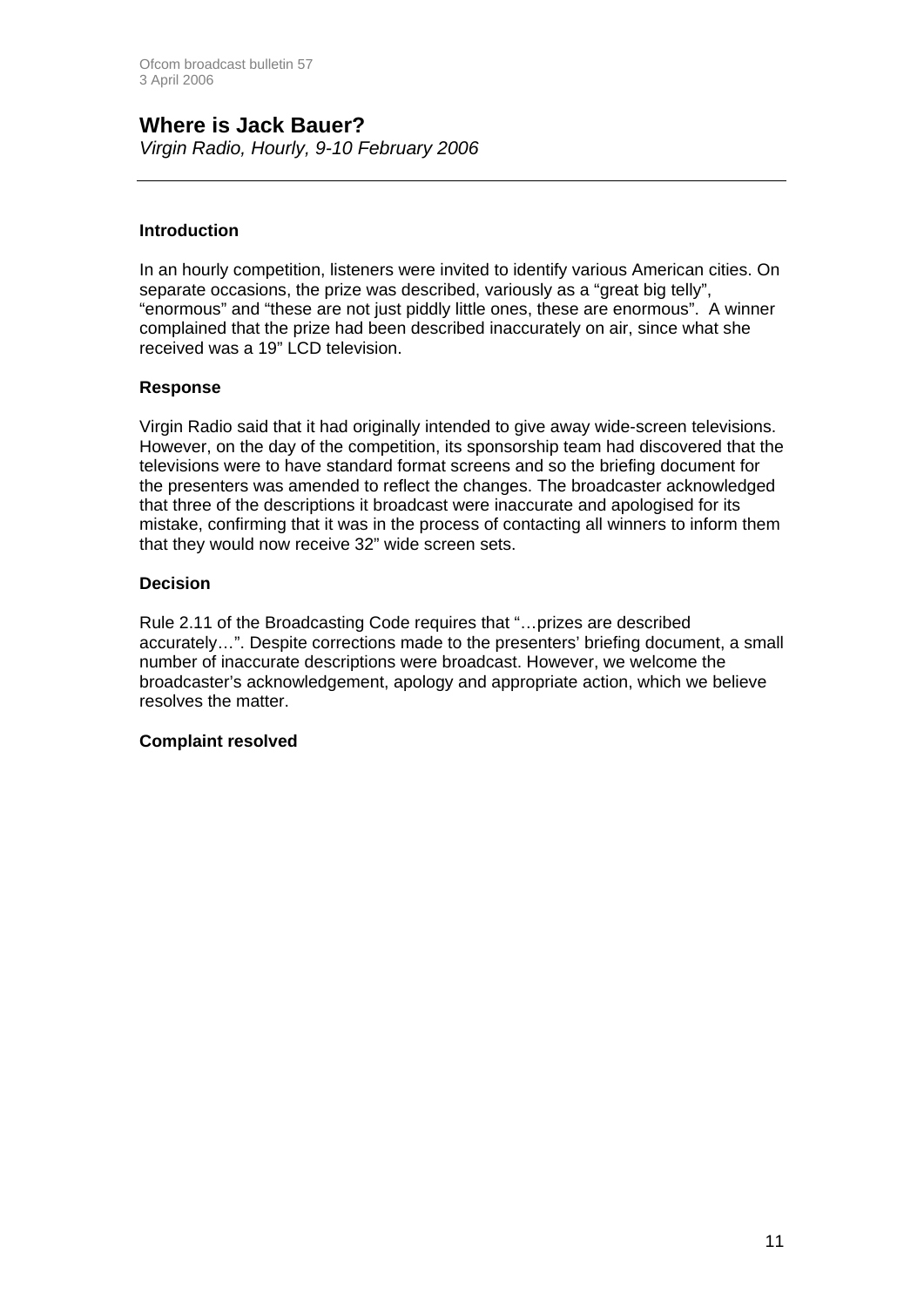# **Where is Jack Bauer?**

*Virgin Radio, Hourly, 9-10 February 2006*

#### **Introduction**

In an hourly competition, listeners were invited to identify various American cities. On separate occasions, the prize was described, variously as a "great big telly", "enormous" and "these are not just piddly little ones, these are enormous". A winner complained that the prize had been described inaccurately on air, since what she received was a 19" LCD television.

#### **Response**

Virgin Radio said that it had originally intended to give away wide-screen televisions. However, on the day of the competition, its sponsorship team had discovered that the televisions were to have standard format screens and so the briefing document for the presenters was amended to reflect the changes. The broadcaster acknowledged that three of the descriptions it broadcast were inaccurate and apologised for its mistake, confirming that it was in the process of contacting all winners to inform them that they would now receive 32" wide screen sets.

#### **Decision**

Rule 2.11 of the Broadcasting Code requires that "…prizes are described accurately…". Despite corrections made to the presenters' briefing document, a small number of inaccurate descriptions were broadcast. However, we welcome the broadcaster's acknowledgement, apology and appropriate action, which we believe resolves the matter.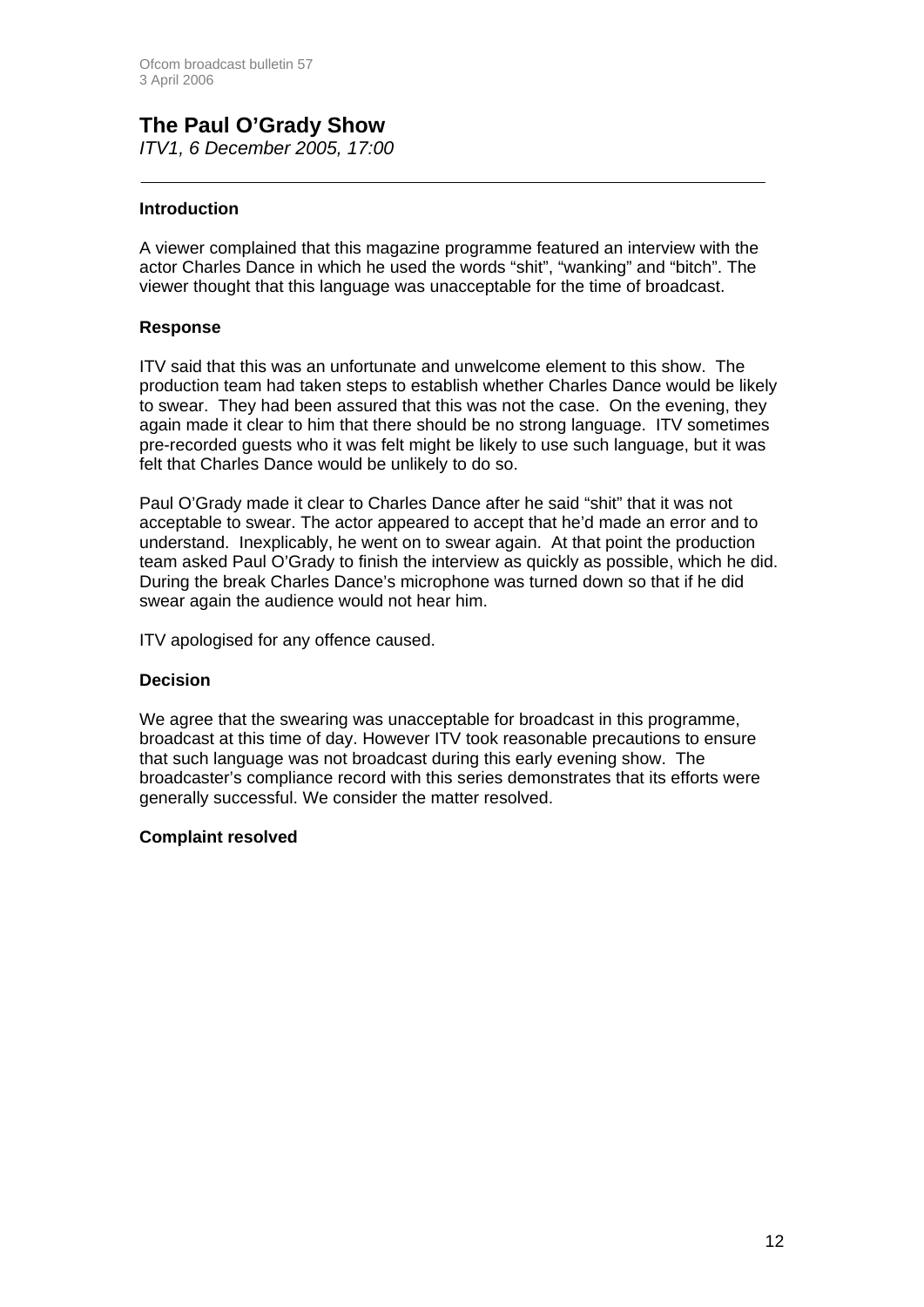## **The Paul O'Grady Show**  *ITV1, 6 December 2005, 17:00*

#### **Introduction**

A viewer complained that this magazine programme featured an interview with the actor Charles Dance in which he used the words "shit", "wanking" and "bitch". The viewer thought that this language was unacceptable for the time of broadcast.

#### **Response**

ITV said that this was an unfortunate and unwelcome element to this show. The production team had taken steps to establish whether Charles Dance would be likely to swear. They had been assured that this was not the case. On the evening, they again made it clear to him that there should be no strong language. ITV sometimes pre-recorded guests who it was felt might be likely to use such language, but it was felt that Charles Dance would be unlikely to do so.

Paul O'Grady made it clear to Charles Dance after he said "shit" that it was not acceptable to swear. The actor appeared to accept that he'd made an error and to understand. Inexplicably, he went on to swear again. At that point the production team asked Paul O'Grady to finish the interview as quickly as possible, which he did. During the break Charles Dance's microphone was turned down so that if he did swear again the audience would not hear him.

ITV apologised for any offence caused.

#### **Decision**

We agree that the swearing was unacceptable for broadcast in this programme, broadcast at this time of day. However ITV took reasonable precautions to ensure that such language was not broadcast during this early evening show. The broadcaster's compliance record with this series demonstrates that its efforts were generally successful. We consider the matter resolved.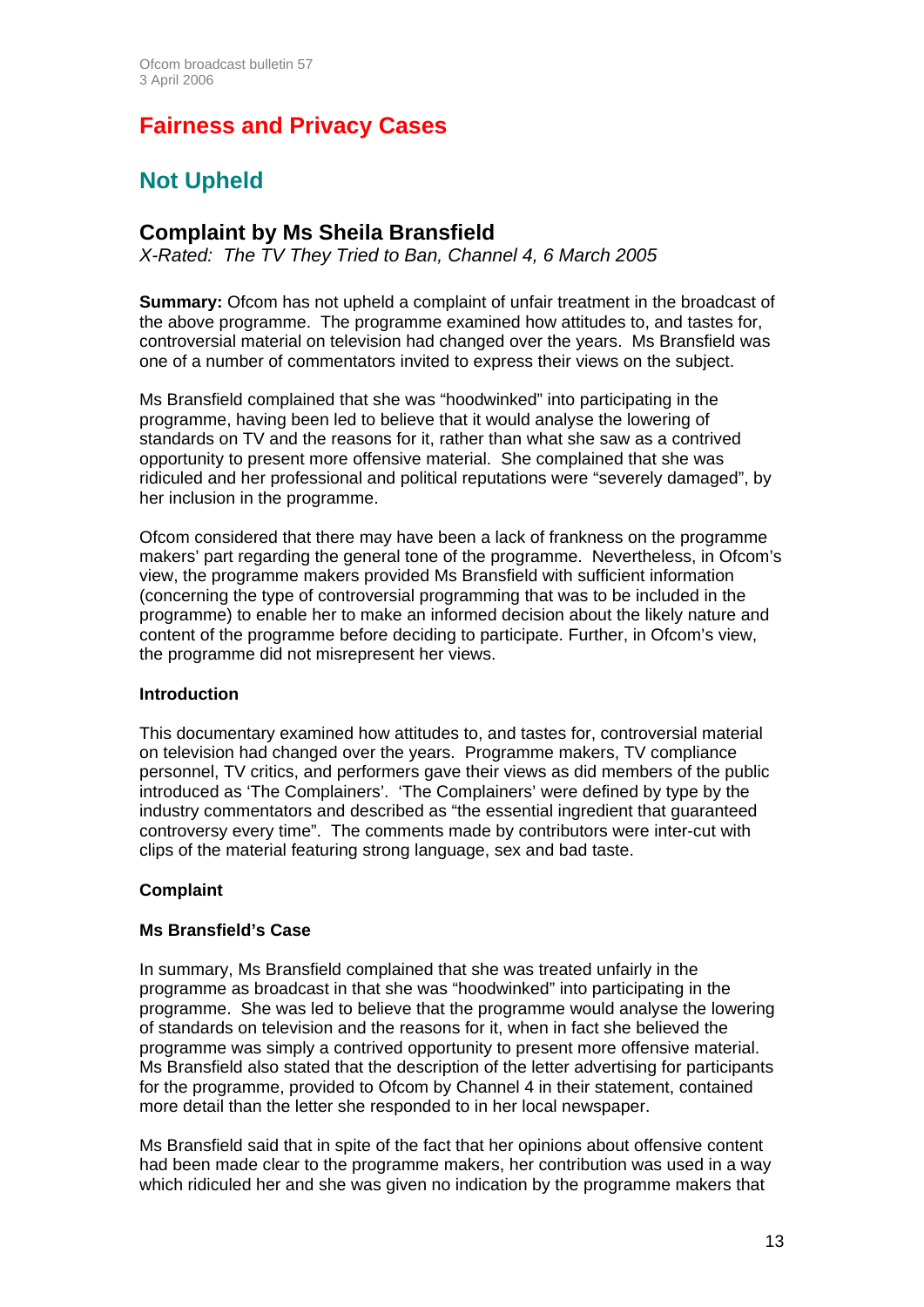# **Fairness and Privacy Cases**

# **Not Upheld**

## **Complaint by Ms Sheila Bransfield**

*X-Rated: The TV They Tried to Ban, Channel 4, 6 March 2005* 

**Summary:** Ofcom has not upheld a complaint of unfair treatment in the broadcast of the above programme. The programme examined how attitudes to, and tastes for, controversial material on television had changed over the years. Ms Bransfield was one of a number of commentators invited to express their views on the subject.

Ms Bransfield complained that she was "hoodwinked" into participating in the programme, having been led to believe that it would analyse the lowering of standards on TV and the reasons for it, rather than what she saw as a contrived opportunity to present more offensive material. She complained that she was ridiculed and her professional and political reputations were "severely damaged", by her inclusion in the programme.

Ofcom considered that there may have been a lack of frankness on the programme makers' part regarding the general tone of the programme. Nevertheless, in Ofcom's view, the programme makers provided Ms Bransfield with sufficient information (concerning the type of controversial programming that was to be included in the programme) to enable her to make an informed decision about the likely nature and content of the programme before deciding to participate. Further, in Ofcom's view, the programme did not misrepresent her views.

#### **Introduction**

This documentary examined how attitudes to, and tastes for, controversial material on television had changed over the years. Programme makers, TV compliance personnel, TV critics, and performers gave their views as did members of the public introduced as 'The Complainers'. 'The Complainers' were defined by type by the industry commentators and described as "the essential ingredient that guaranteed controversy every time". The comments made by contributors were inter-cut with clips of the material featuring strong language, sex and bad taste.

#### **Complaint**

#### **Ms Bransfield's Case**

In summary, Ms Bransfield complained that she was treated unfairly in the programme as broadcast in that she was "hoodwinked" into participating in the programme. She was led to believe that the programme would analyse the lowering of standards on television and the reasons for it, when in fact she believed the programme was simply a contrived opportunity to present more offensive material. Ms Bransfield also stated that the description of the letter advertising for participants for the programme, provided to Ofcom by Channel 4 in their statement, contained more detail than the letter she responded to in her local newspaper.

Ms Bransfield said that in spite of the fact that her opinions about offensive content had been made clear to the programme makers, her contribution was used in a way which ridiculed her and she was given no indication by the programme makers that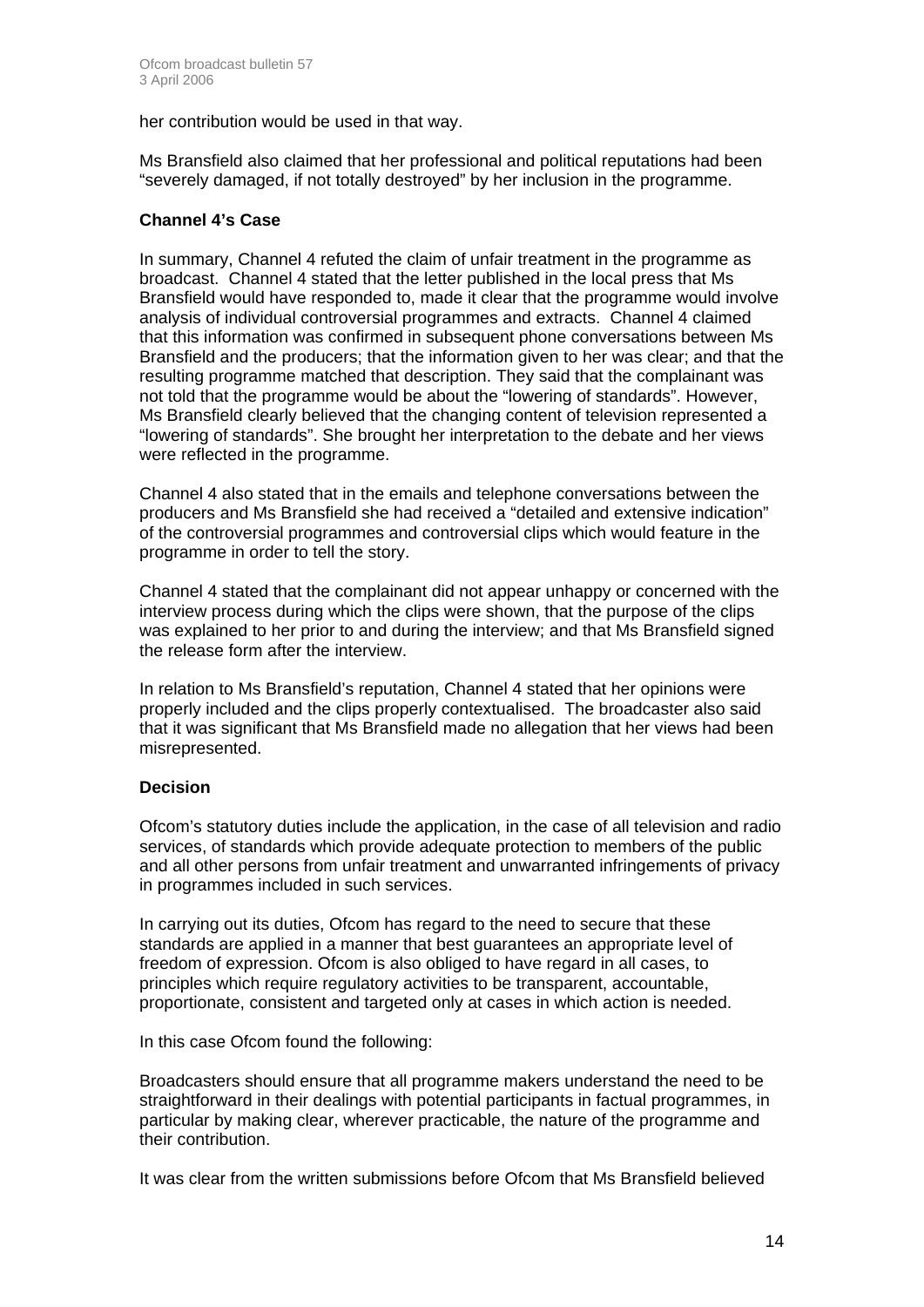her contribution would be used in that way.

Ms Bransfield also claimed that her professional and political reputations had been "severely damaged, if not totally destroyed" by her inclusion in the programme.

#### **Channel 4's Case**

In summary, Channel 4 refuted the claim of unfair treatment in the programme as broadcast. Channel 4 stated that the letter published in the local press that Ms Bransfield would have responded to, made it clear that the programme would involve analysis of individual controversial programmes and extracts. Channel 4 claimed that this information was confirmed in subsequent phone conversations between Ms Bransfield and the producers; that the information given to her was clear; and that the resulting programme matched that description. They said that the complainant was not told that the programme would be about the "lowering of standards". However, Ms Bransfield clearly believed that the changing content of television represented a "lowering of standards". She brought her interpretation to the debate and her views were reflected in the programme.

Channel 4 also stated that in the emails and telephone conversations between the producers and Ms Bransfield she had received a "detailed and extensive indication" of the controversial programmes and controversial clips which would feature in the programme in order to tell the story.

Channel 4 stated that the complainant did not appear unhappy or concerned with the interview process during which the clips were shown, that the purpose of the clips was explained to her prior to and during the interview; and that Ms Bransfield signed the release form after the interview.

In relation to Ms Bransfield's reputation, Channel 4 stated that her opinions were properly included and the clips properly contextualised. The broadcaster also said that it was significant that Ms Bransfield made no allegation that her views had been misrepresented.

#### **Decision**

Ofcom's statutory duties include the application, in the case of all television and radio services, of standards which provide adequate protection to members of the public and all other persons from unfair treatment and unwarranted infringements of privacy in programmes included in such services.

In carrying out its duties, Ofcom has regard to the need to secure that these standards are applied in a manner that best guarantees an appropriate level of freedom of expression. Ofcom is also obliged to have regard in all cases, to principles which require regulatory activities to be transparent, accountable, proportionate, consistent and targeted only at cases in which action is needed.

In this case Ofcom found the following:

Broadcasters should ensure that all programme makers understand the need to be straightforward in their dealings with potential participants in factual programmes, in particular by making clear, wherever practicable, the nature of the programme and their contribution.

It was clear from the written submissions before Ofcom that Ms Bransfield believed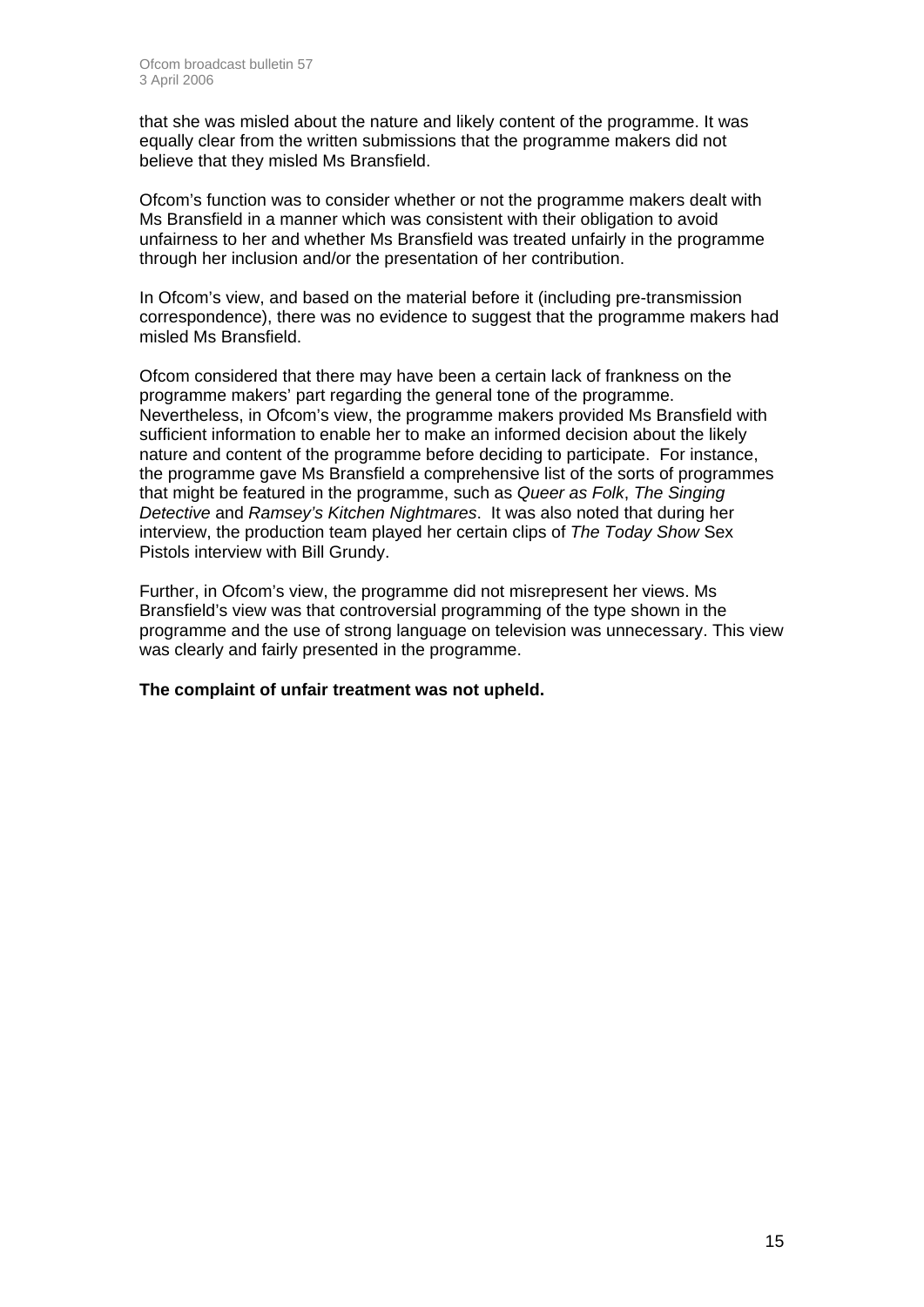that she was misled about the nature and likely content of the programme. It was equally clear from the written submissions that the programme makers did not believe that they misled Ms Bransfield.

Ofcom's function was to consider whether or not the programme makers dealt with Ms Bransfield in a manner which was consistent with their obligation to avoid unfairness to her and whether Ms Bransfield was treated unfairly in the programme through her inclusion and/or the presentation of her contribution.

In Ofcom's view, and based on the material before it (including pre-transmission correspondence), there was no evidence to suggest that the programme makers had misled Ms Bransfield.

Ofcom considered that there may have been a certain lack of frankness on the programme makers' part regarding the general tone of the programme. Nevertheless, in Ofcom's view, the programme makers provided Ms Bransfield with sufficient information to enable her to make an informed decision about the likely nature and content of the programme before deciding to participate. For instance, the programme gave Ms Bransfield a comprehensive list of the sorts of programmes that might be featured in the programme, such as *Queer as Folk*, *The Singing Detective* and *Ramsey's Kitchen Nightmares*. It was also noted that during her interview, the production team played her certain clips of *The Today Show* Sex Pistols interview with Bill Grundy.

Further, in Ofcom's view, the programme did not misrepresent her views. Ms Bransfield's view was that controversial programming of the type shown in the programme and the use of strong language on television was unnecessary. This view was clearly and fairly presented in the programme.

**The complaint of unfair treatment was not upheld.**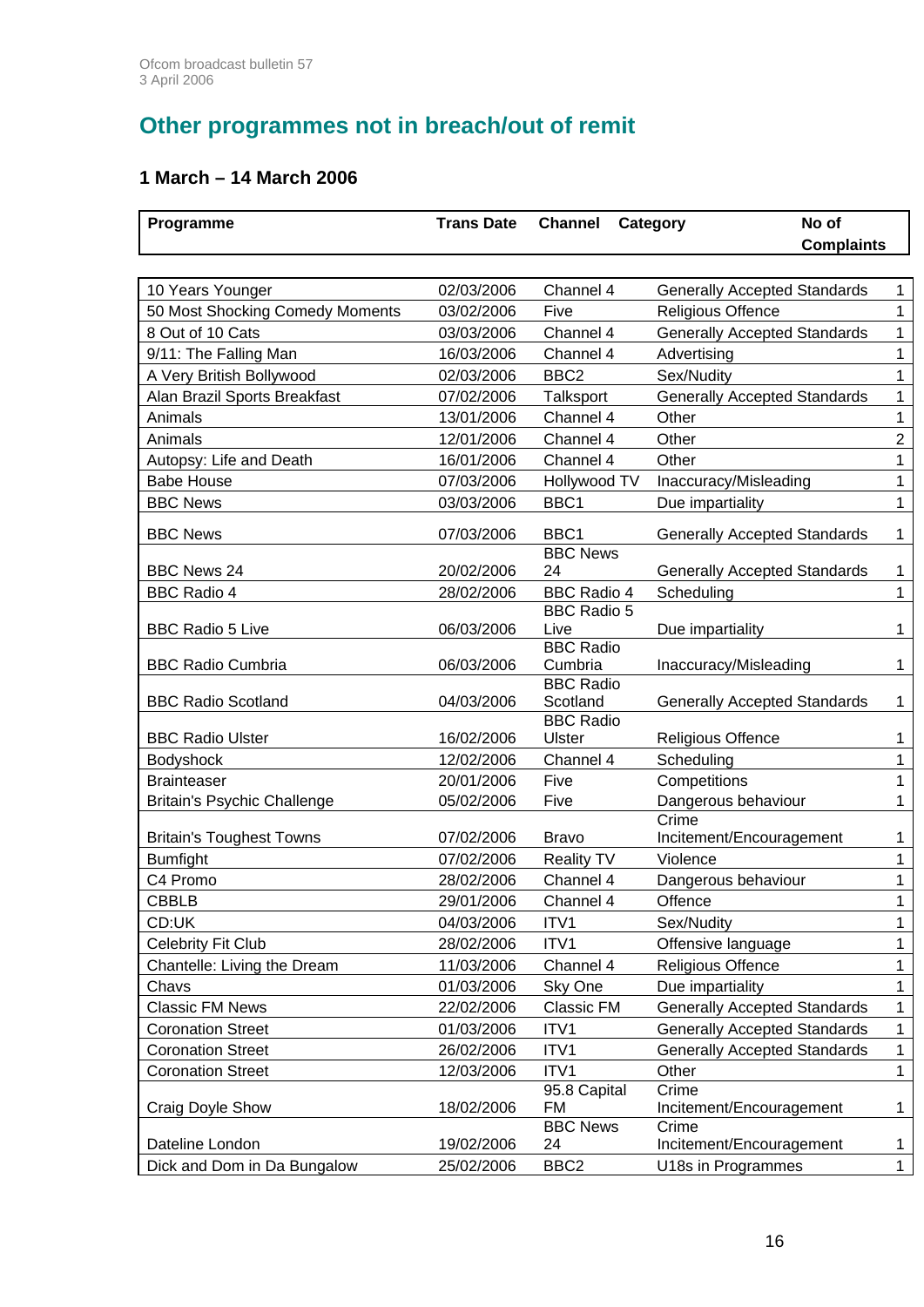# **Other programmes not in breach/out of remit**

## **1 March – 14 March 2006**

| Programme                          | <b>Trans Date</b> | <b>Channel</b>                           | No of<br>Category                   | <b>Complaints</b> |
|------------------------------------|-------------------|------------------------------------------|-------------------------------------|-------------------|
|                                    |                   |                                          |                                     |                   |
| 10 Years Younger                   | 02/03/2006        | Channel 4                                | <b>Generally Accepted Standards</b> | $\mathbf{1}$      |
| 50 Most Shocking Comedy Moments    | 03/02/2006        | Five                                     | <b>Religious Offence</b>            | 1                 |
| 8 Out of 10 Cats                   | 03/03/2006        | Channel 4                                | <b>Generally Accepted Standards</b> | 1                 |
| 9/11: The Falling Man              | 16/03/2006        | Channel 4                                | Advertising                         | 1                 |
| A Very British Bollywood           | 02/03/2006        | BBC <sub>2</sub>                         | Sex/Nudity                          | 1                 |
| Alan Brazil Sports Breakfast       | 07/02/2006        | Talksport                                | <b>Generally Accepted Standards</b> | 1                 |
| Animals                            | 13/01/2006        | Channel 4                                | Other                               | $\mathbf{1}$      |
| Animals                            | 12/01/2006        | Channel 4                                | Other                               | $\overline{c}$    |
| Autopsy: Life and Death            | 16/01/2006        | Channel 4                                | Other                               | 1                 |
| <b>Babe House</b>                  | 07/03/2006        | Hollywood TV                             | Inaccuracy/Misleading               | $\mathbf{1}$      |
| <b>BBC News</b>                    | 03/03/2006        | BBC1                                     | Due impartiality                    | $\mathbf 1$       |
| <b>BBC News</b>                    | 07/03/2006        | BBC1                                     | <b>Generally Accepted Standards</b> | $\mathbf{1}$      |
|                                    |                   | <b>BBC News</b>                          |                                     |                   |
| <b>BBC News 24</b>                 | 20/02/2006        | 24                                       | <b>Generally Accepted Standards</b> | 1                 |
| <b>BBC Radio 4</b>                 | 28/02/2006        | <b>BBC Radio 4</b><br><b>BBC Radio 5</b> | Scheduling                          | $\mathbf{1}$      |
| <b>BBC Radio 5 Live</b>            | 06/03/2006        | Live                                     | Due impartiality                    | 1                 |
|                                    |                   | <b>BBC Radio</b>                         |                                     |                   |
| <b>BBC Radio Cumbria</b>           | 06/03/2006        | Cumbria                                  | Inaccuracy/Misleading               | 1                 |
|                                    |                   | <b>BBC Radio</b>                         |                                     |                   |
| <b>BBC Radio Scotland</b>          | 04/03/2006        | Scotland                                 | <b>Generally Accepted Standards</b> | 1                 |
| <b>BBC Radio Ulster</b>            | 16/02/2006        | <b>BBC Radio</b><br><b>Ulster</b>        |                                     |                   |
|                                    | 12/02/2006        | Channel 4                                | Religious Offence<br>Scheduling     | 1<br>$\mathbf{1}$ |
| Bodyshock<br><b>Brainteaser</b>    | 20/01/2006        | Five                                     | Competitions                        | $\mathbf{1}$      |
| <b>Britain's Psychic Challenge</b> | 05/02/2006        | Five                                     | Dangerous behaviour                 | 1                 |
|                                    |                   |                                          | Crime                               |                   |
| <b>Britain's Toughest Towns</b>    | 07/02/2006        | <b>Bravo</b>                             | Incitement/Encouragement            | 1                 |
| <b>Bumfight</b>                    | 07/02/2006        | <b>Reality TV</b>                        | Violence                            | $\mathbf{1}$      |
| C4 Promo                           | 28/02/2006        | Channel 4                                | Dangerous behaviour                 | $\mathbf{1}$      |
| <b>CBBLB</b>                       | 29/01/2006        | Channel 4                                | Offence                             | 1                 |
| CD:UK                              | 04/03/2006        | ITV1                                     | Sex/Nudity                          | 1                 |
| <b>Celebrity Fit Club</b>          | 28/02/2006        | ITV1                                     | Offensive language                  | $\mathbf{1}$      |
| Chantelle: Living the Dream        | 11/03/2006        | Channel 4                                | Religious Offence                   | 1                 |
| Chavs                              | 01/03/2006        | Sky One                                  | Due impartiality                    | $\mathbf{1}$      |
| <b>Classic FM News</b>             | 22/02/2006        | Classic FM                               | <b>Generally Accepted Standards</b> | 1                 |
| <b>Coronation Street</b>           | 01/03/2006        | ITV1                                     | <b>Generally Accepted Standards</b> | $\mathbf{1}$      |
| <b>Coronation Street</b>           | 26/02/2006        | ITV1                                     | <b>Generally Accepted Standards</b> | $\mathbf{1}$      |
| <b>Coronation Street</b>           | 12/03/2006        | ITV1                                     | Other                               | $\mathbf{1}$      |
|                                    |                   | 95.8 Capital                             | Crime                               |                   |
| Craig Doyle Show                   | 18/02/2006        | FM                                       | Incitement/Encouragement            | 1                 |
|                                    |                   | <b>BBC News</b>                          | Crime                               |                   |
| Dateline London                    | 19/02/2006        | 24                                       | Incitement/Encouragement            | $\mathbf 1$       |
| Dick and Dom in Da Bungalow        | 25/02/2006        | BBC <sub>2</sub>                         | U18s in Programmes                  | $\mathbf{1}$      |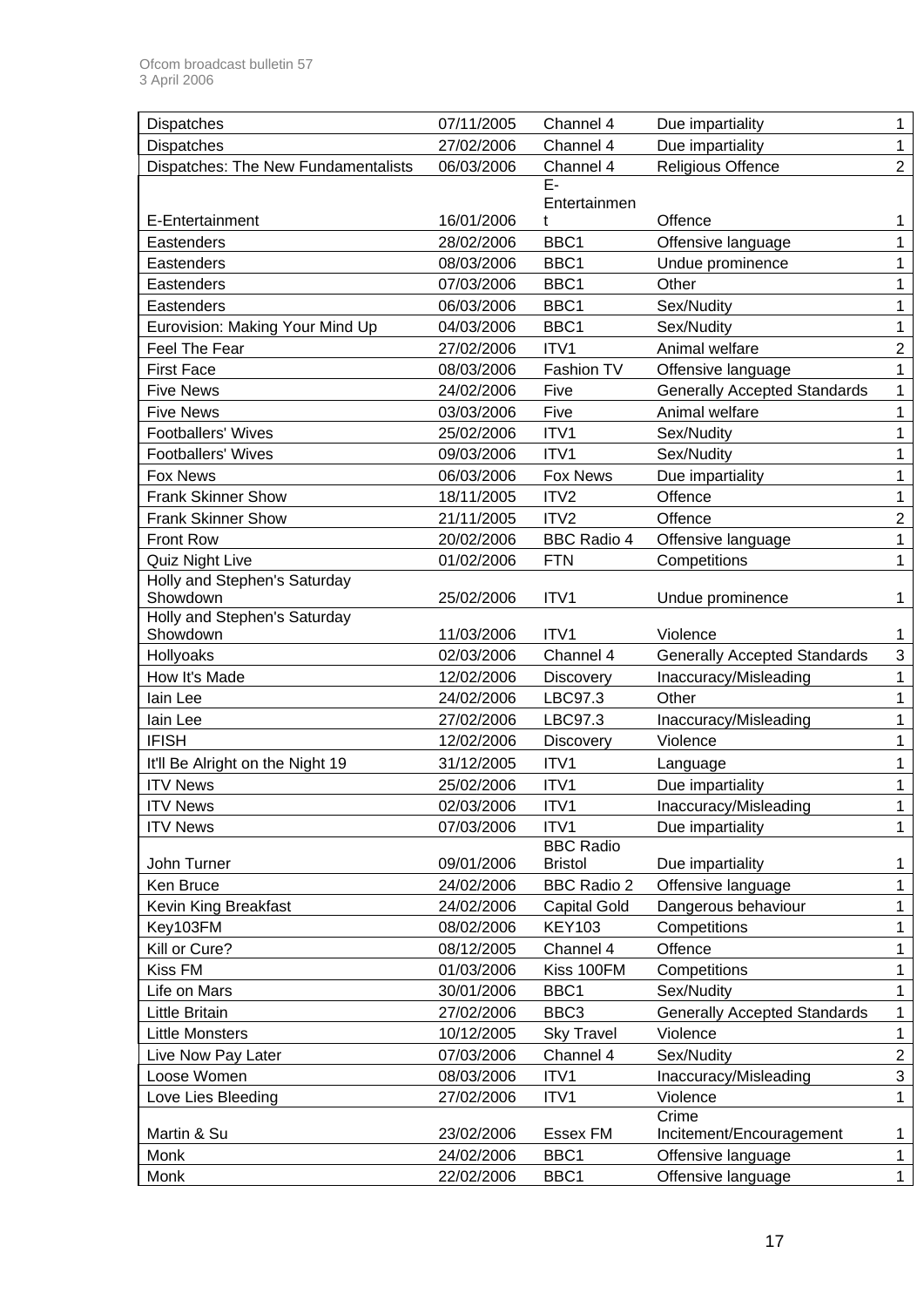| <b>Dispatches</b>                   | 07/11/2005 | Channel 4           | Due impartiality                    | 1              |
|-------------------------------------|------------|---------------------|-------------------------------------|----------------|
| <b>Dispatches</b>                   | 27/02/2006 | Channel 4           | Due impartiality                    | 1              |
| Dispatches: The New Fundamentalists | 06/03/2006 | Channel 4           | Religious Offence                   | $\overline{2}$ |
|                                     |            | E-                  |                                     |                |
|                                     |            | Entertainmen        |                                     |                |
| E-Entertainment                     | 16/01/2006 | t                   | Offence                             | 1              |
| Eastenders                          | 28/02/2006 | BBC1                | Offensive language                  |                |
| Eastenders                          | 08/03/2006 | BBC1                | Undue prominence                    | 1              |
| Eastenders                          | 07/03/2006 | BBC1                | Other                               | 1              |
| Eastenders                          | 06/03/2006 | BBC1                | Sex/Nudity                          | 1              |
| Eurovision: Making Your Mind Up     | 04/03/2006 | BBC1                | Sex/Nudity                          | 1              |
| Feel The Fear                       | 27/02/2006 | ITV1                | Animal welfare                      | $\overline{2}$ |
| <b>First Face</b>                   | 08/03/2006 | Fashion TV          | Offensive language                  | 1              |
| <b>Five News</b>                    | 24/02/2006 | Five                | <b>Generally Accepted Standards</b> | 1              |
| <b>Five News</b>                    | 03/03/2006 | Five                | Animal welfare                      | 1              |
| <b>Footballers' Wives</b>           | 25/02/2006 | ITV1                | Sex/Nudity                          |                |
| <b>Footballers' Wives</b>           | 09/03/2006 | ITV1                | Sex/Nudity                          | 1              |
| <b>Fox News</b>                     | 06/03/2006 | <b>Fox News</b>     | Due impartiality                    | 1              |
| <b>Frank Skinner Show</b>           | 18/11/2005 | ITV2                | Offence                             | 1              |
| <b>Frank Skinner Show</b>           | 21/11/2005 | ITV2                | Offence                             | $\overline{2}$ |
| Front Row                           | 20/02/2006 | <b>BBC Radio 4</b>  | Offensive language                  | 1              |
| Quiz Night Live                     | 01/02/2006 | <b>FTN</b>          | Competitions                        | 1              |
| Holly and Stephen's Saturday        |            |                     |                                     |                |
| Showdown                            | 25/02/2006 | ITV1                | Undue prominence                    | 1              |
| Holly and Stephen's Saturday        |            |                     |                                     |                |
| Showdown                            | 11/03/2006 | ITV <sub>1</sub>    | Violence                            |                |
| Hollyoaks                           | 02/03/2006 | Channel 4           | <b>Generally Accepted Standards</b> | 3              |
| How It's Made                       | 12/02/2006 | <b>Discovery</b>    | Inaccuracy/Misleading               | 1              |
| lain Lee                            | 24/02/2006 | LBC97.3             | Other                               | 1              |
| lain Lee                            | 27/02/2006 | LBC97.3             | Inaccuracy/Misleading               |                |
| <b>IFISH</b>                        | 12/02/2006 | <b>Discovery</b>    | Violence                            |                |
| It'll Be Alright on the Night 19    | 31/12/2005 | ITV1                | Language                            |                |
| <b>ITV News</b>                     | 25/02/2006 | ITV1                | Due impartiality                    | 1              |
| <b>ITV News</b>                     | 02/03/2006 | ITV <sub>1</sub>    | Inaccuracy/Misleading               |                |
| <b>ITV News</b>                     | 07/03/2006 | ITV1                | Due impartiality                    | 1              |
|                                     |            | <b>BBC Radio</b>    |                                     |                |
| John Turner                         | 09/01/2006 | <b>Bristol</b>      | Due impartiality                    | 1              |
| Ken Bruce                           | 24/02/2006 | <b>BBC Radio 2</b>  | Offensive language                  | 1              |
| Kevin King Breakfast                | 24/02/2006 | <b>Capital Gold</b> | Dangerous behaviour                 | 1              |
| Key103FM                            | 08/02/2006 | <b>KEY103</b>       | Competitions                        | 1              |
| Kill or Cure?                       | 08/12/2005 | Channel 4           | Offence                             | 1              |
| Kiss FM                             | 01/03/2006 | Kiss 100FM          | Competitions                        | 1              |
| Life on Mars                        | 30/01/2006 | BBC1                | Sex/Nudity                          | 1              |
| Little Britain                      | 27/02/2006 | BBC <sub>3</sub>    | <b>Generally Accepted Standards</b> | 1              |
| <b>Little Monsters</b>              | 10/12/2005 | <b>Sky Travel</b>   | Violence                            | 1              |
| Live Now Pay Later                  | 07/03/2006 | Channel 4           | Sex/Nudity                          | $\overline{c}$ |
| Loose Women                         | 08/03/2006 | ITV1                | Inaccuracy/Misleading               | 3              |
| Love Lies Bleeding                  | 27/02/2006 | ITV1                | Violence                            | 1              |
|                                     |            |                     | Crime                               |                |
| Martin & Su                         | 23/02/2006 | Essex FM            | Incitement/Encouragement            | 1              |
| Monk                                | 24/02/2006 | BBC1                | Offensive language                  | 1              |
| Monk                                | 22/02/2006 | BBC1                | Offensive language                  | 1              |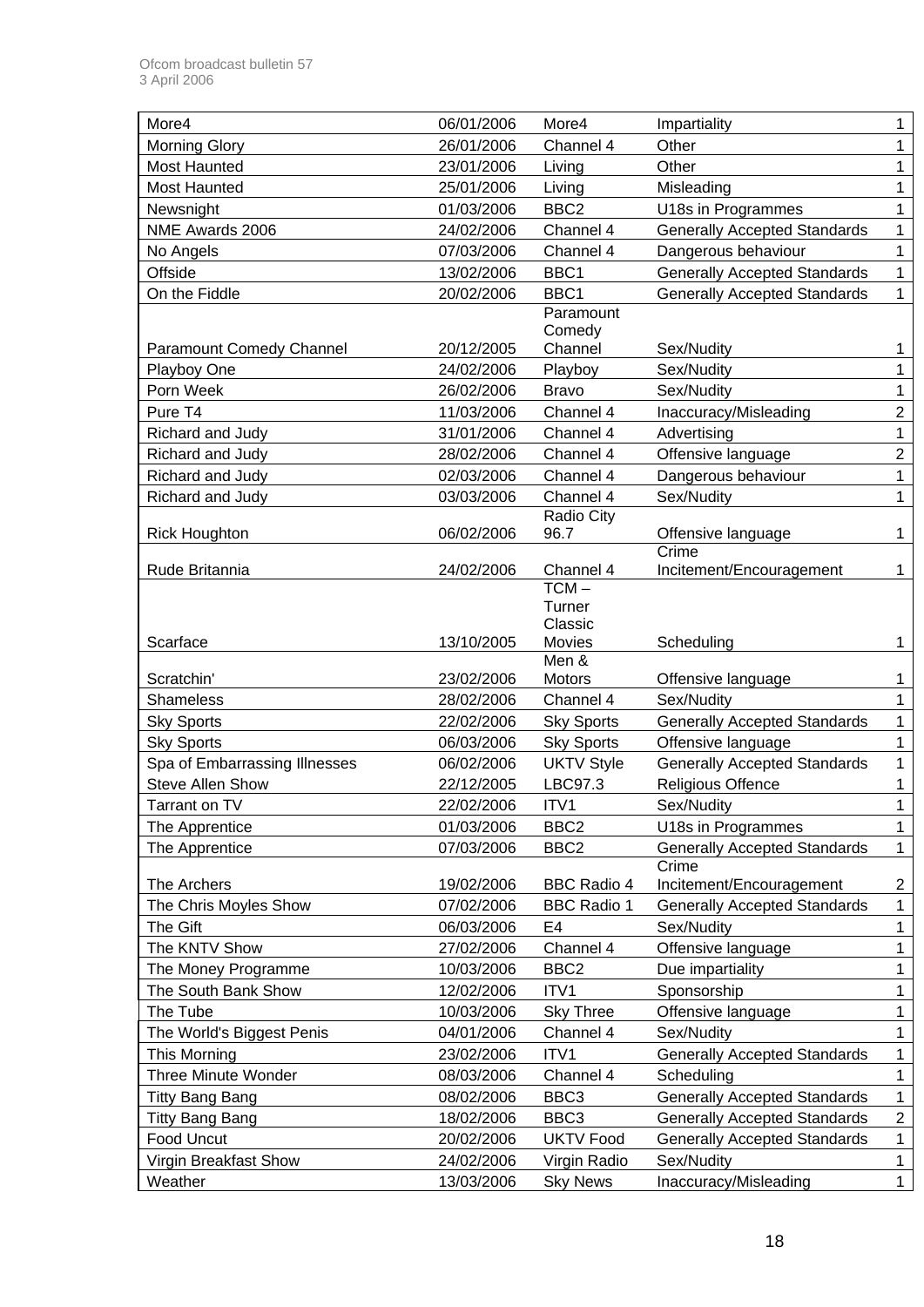| More4                           | 06/01/2006 | More4              | Impartiality                                 | 1              |
|---------------------------------|------------|--------------------|----------------------------------------------|----------------|
| <b>Morning Glory</b>            | 26/01/2006 | Channel 4          | Other                                        | 1              |
| <b>Most Haunted</b>             | 23/01/2006 | Living             | Other                                        | 1              |
| <b>Most Haunted</b>             | 25/01/2006 | Living             | Misleading                                   | 1              |
| Newsnight                       | 01/03/2006 | BBC <sub>2</sub>   | U18s in Programmes                           | 1              |
| NME Awards 2006                 | 24/02/2006 | Channel 4          | <b>Generally Accepted Standards</b>          | 1              |
| No Angels                       | 07/03/2006 | Channel 4          | Dangerous behaviour                          | 1              |
| Offside                         | 13/02/2006 | BBC1               | <b>Generally Accepted Standards</b>          | $\mathbf 1$    |
| On the Fiddle                   | 20/02/2006 | BBC1               | <b>Generally Accepted Standards</b>          | $\mathbf{1}$   |
|                                 |            | Paramount          |                                              |                |
|                                 |            | Comedy             |                                              |                |
| <b>Paramount Comedy Channel</b> | 20/12/2005 | Channel            | Sex/Nudity                                   | 1              |
| Playboy One                     | 24/02/2006 | Playboy            | Sex/Nudity                                   | 1              |
| Porn Week                       | 26/02/2006 | <b>Bravo</b>       | Sex/Nudity                                   | 1              |
| Pure T4                         | 11/03/2006 | Channel 4          | Inaccuracy/Misleading                        | $\overline{2}$ |
| Richard and Judy                | 31/01/2006 | Channel 4          | Advertising                                  | 1              |
| Richard and Judy                | 28/02/2006 | Channel 4          | Offensive language                           | $\overline{2}$ |
| Richard and Judy                | 02/03/2006 | Channel 4          | Dangerous behaviour                          | 1              |
| Richard and Judy                | 03/03/2006 | Channel 4          | Sex/Nudity                                   | 1              |
|                                 | 06/02/2006 | Radio City<br>96.7 |                                              | 1              |
| <b>Rick Houghton</b>            |            |                    | Offensive language<br>Crime                  |                |
| Rude Britannia                  | 24/02/2006 | Channel 4          | Incitement/Encouragement                     | 1              |
|                                 |            | $TCM -$            |                                              |                |
|                                 |            | Turner             |                                              |                |
|                                 |            | Classic            |                                              |                |
|                                 |            |                    | Scheduling                                   | 1              |
| Scarface                        | 13/10/2005 | Movies             |                                              |                |
|                                 |            | Men &              |                                              |                |
| Scratchin'                      | 23/02/2006 | Motors             | Offensive language                           | 1              |
| Shameless                       | 28/02/2006 | Channel 4          | Sex/Nudity                                   | 1              |
| <b>Sky Sports</b>               | 22/02/2006 | <b>Sky Sports</b>  | <b>Generally Accepted Standards</b>          | 1              |
| <b>Sky Sports</b>               | 06/03/2006 | <b>Sky Sports</b>  | Offensive language                           | 1              |
| Spa of Embarrassing Illnesses   | 06/02/2006 | <b>UKTV Style</b>  | <b>Generally Accepted Standards</b>          | 1<br>1         |
| <b>Steve Allen Show</b>         | 22/12/2005 | LBC97.3            | Religious Offence                            |                |
| Tarrant on TV                   | 22/02/2006 | ITV1               | Sex/Nudity                                   |                |
| The Apprentice                  | 01/03/2006 | BBC <sub>2</sub>   | U18s in Programmes                           | 1              |
| The Apprentice                  | 07/03/2006 | BBC <sub>2</sub>   | <b>Generally Accepted Standards</b><br>Crime | $\mathbf{1}$   |
| The Archers                     | 19/02/2006 | <b>BBC Radio 4</b> | Incitement/Encouragement                     | $\overline{c}$ |
| The Chris Moyles Show           | 07/02/2006 | <b>BBC Radio 1</b> | <b>Generally Accepted Standards</b>          | $\mathbf 1$    |
| The Gift                        | 06/03/2006 | E4                 | Sex/Nudity                                   | 1              |
| The KNTV Show                   | 27/02/2006 | Channel 4          | Offensive language                           | 1              |
| The Money Programme             | 10/03/2006 | BBC <sub>2</sub>   | Due impartiality                             | 1              |
| The South Bank Show             | 12/02/2006 | ITV1               | Sponsorship                                  | 1              |
| The Tube                        | 10/03/2006 | <b>Sky Three</b>   | Offensive language                           | 1              |
| The World's Biggest Penis       | 04/01/2006 | Channel 4          | Sex/Nudity                                   | 1              |
| This Morning                    | 23/02/2006 | ITV1               | <b>Generally Accepted Standards</b>          | 1              |
| Three Minute Wonder             | 08/03/2006 | Channel 4          | Scheduling                                   | 1              |
| <b>Titty Bang Bang</b>          | 08/02/2006 | BBC <sub>3</sub>   | <b>Generally Accepted Standards</b>          | $\mathbf{1}$   |
| <b>Titty Bang Bang</b>          | 18/02/2006 | BBC <sub>3</sub>   | <b>Generally Accepted Standards</b>          | $\overline{c}$ |
| Food Uncut                      | 20/02/2006 | <b>UKTV Food</b>   | <b>Generally Accepted Standards</b>          | 1              |
| Virgin Breakfast Show           | 24/02/2006 | Virgin Radio       | Sex/Nudity                                   | 1              |